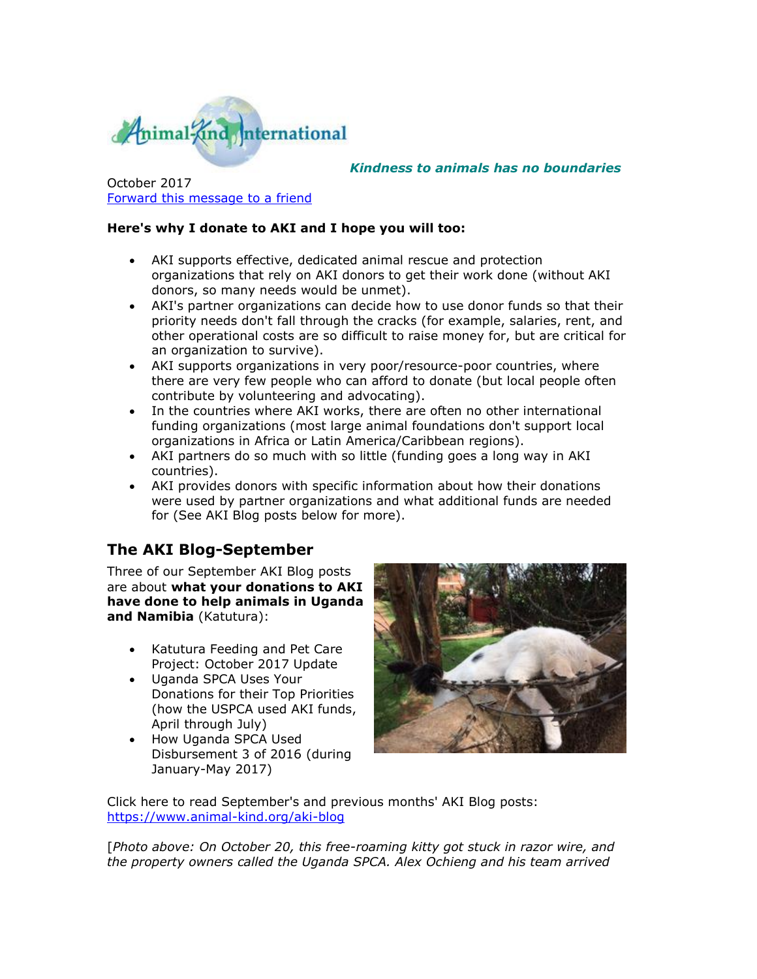

*Kindness to animals has no boundaries*

October 2017 [Forward this message to a friend](http://oi.vresp.com/f2af/v4/send_to_friend.html?ch=afb092736d&lid=284351439&ldh=4d75da415c)

#### **Here's why I donate to AKI and I hope you will too:**

- AKI supports effective, dedicated animal rescue and protection organizations that rely on AKI donors to get their work done (without AKI donors, so many needs would be unmet).
- AKI's partner organizations can decide how to use donor funds so that their priority needs don't fall through the cracks (for example, salaries, rent, and other operational costs are so difficult to raise money for, but are critical for an organization to survive).
- AKI supports organizations in very poor/resource-poor countries, where there are very few people who can afford to donate (but local people often contribute by volunteering and advocating).
- In the countries where AKI works, there are often no other international funding organizations (most large animal foundations don't support local organizations in Africa or Latin America/Caribbean regions).
- AKI partners do so much with so little (funding goes a long way in AKI countries).
- AKI provides donors with specific information about how their donations were used by partner organizations and what additional funds are needed for (See AKI Blog posts below for more).

# **The AKI Blog-September**

Three of our September AKI Blog posts are about **what your donations to AKI have done to help animals in Uganda and Namibia** (Katutura):

- Katutura Feeding and Pet Care Project: October 2017 Update
- Uganda SPCA Uses Your Donations for their Top Priorities (how the USPCA used AKI funds, April through July)
- How Uganda SPCA Used Disbursement 3 of 2016 (during January-May 2017)



Click here to read September's and previous months' AKI Blog posts: [https://www.animal-kind.org/aki-blog](http://cts.vresp.com/c/?AnimalKindInternatio/afb092736d/4d75da415c/4a2d0258ad)

[*Photo above: On October 20, this free-roaming kitty got stuck in razor wire, and the property owners called the Uganda SPCA. Alex Ochieng and his team arrived*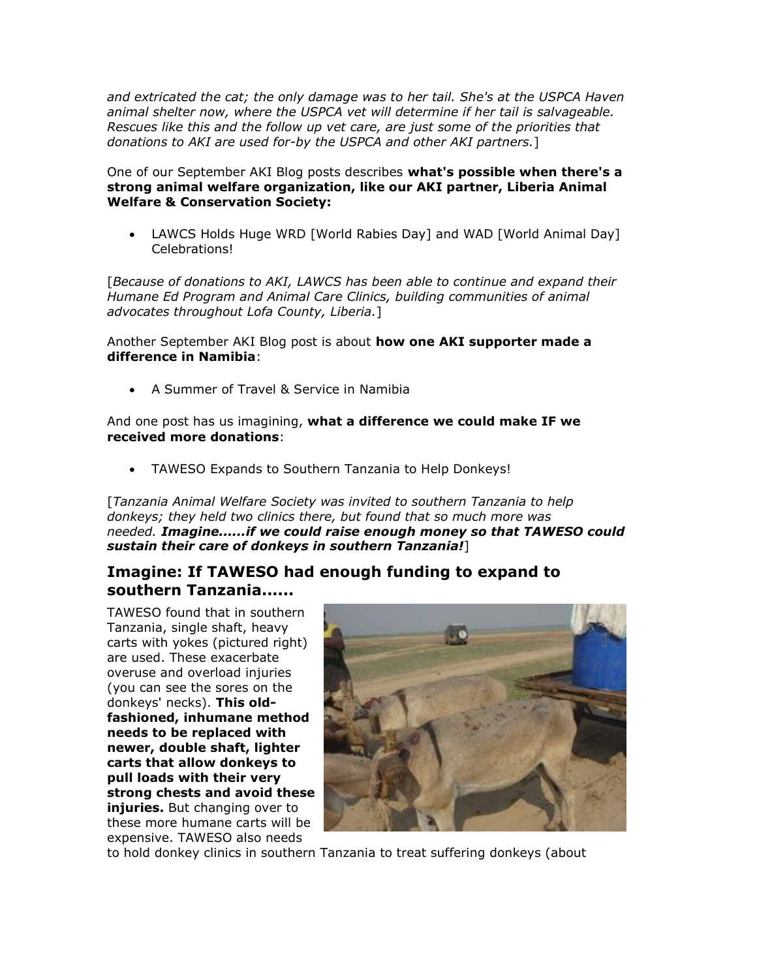*and extricated the cat; the only damage was to her tail. She's at the USPCA Haven animal shelter now, where the USPCA vet will determine if her tail is salvageable. Rescues like this and the follow up vet care, are just some of the priorities that donations to AKI are used for-by the USPCA and other AKI partners.*]

One of our September AKI Blog posts describes **what's possible when there's a strong animal welfare organization, like our AKI partner, Liberia Animal Welfare & Conservation Society:**

 LAWCS Holds Huge WRD [World Rabies Day] and WAD [World Animal Day] Celebrations!

[*Because of donations to AKI, LAWCS has been able to continue and expand their Humane Ed Program and Animal Care Clinics, building communities of animal advocates throughout Lofa County, Liberia.*]

Another September AKI Blog post is about **how one AKI supporter made a difference in Namibia**:

A Summer of Travel & Service in Namibia

And one post has us imagining, **what a difference we could make IF we received more donations**:

TAWESO Expands to Southern Tanzania to Help Donkeys!

[*Tanzania Animal Welfare Society was invited to southern Tanzania to help donkeys; they held two clinics there, but found that so much more was needed. Imagine......if we could raise enough money so that TAWESO could sustain their care of donkeys in southern Tanzania!*]

### **Imagine: If TAWESO had enough funding to expand to southern Tanzania......**

TAWESO found that in southern Tanzania, single shaft, heavy carts with yokes (pictured right) are used. These exacerbate overuse and overload injuries (you can see the sores on the donkeys' necks). **This oldfashioned, inhumane method needs to be replaced with newer, double shaft, lighter carts that allow donkeys to pull loads with their very strong chests and avoid these injuries.** But changing over to these more humane carts will be expensive. TAWESO also needs



to hold donkey clinics in southern Tanzania to treat suffering donkeys (about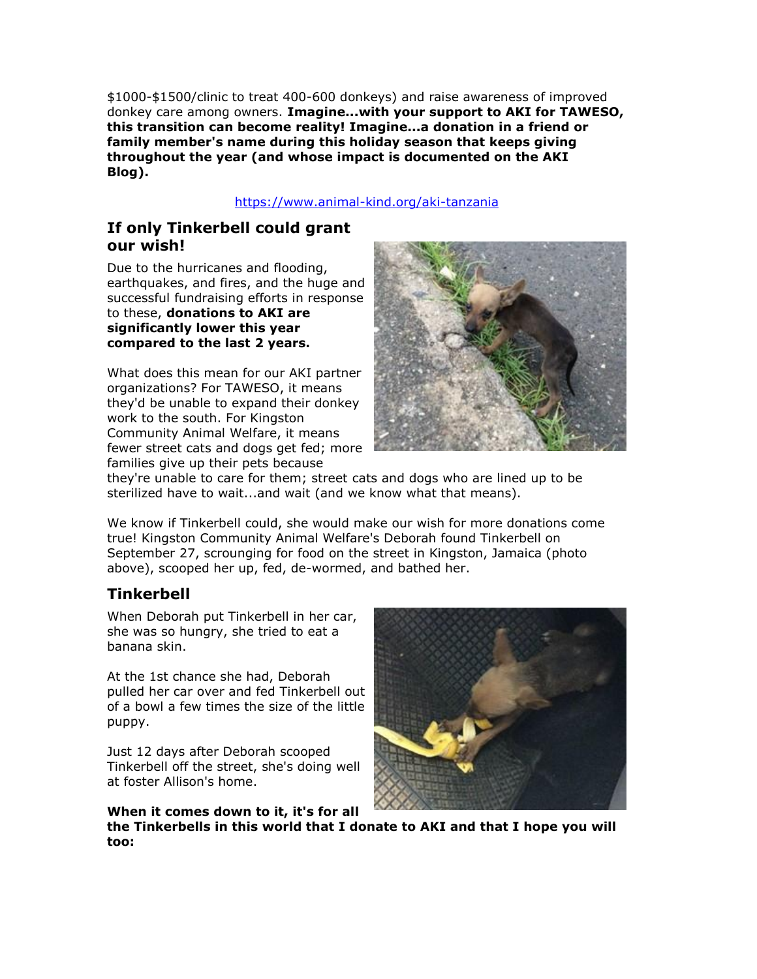\$1000-\$1500/clinic to treat 400-600 donkeys) and raise awareness of improved donkey care among owners. **Imagine...with your support to AKI for TAWESO, this transition can become reality! Imagine...a donation in a friend or family member's name during this holiday season that keeps giving throughout the year (and whose impact is documented on the AKI Blog).** 

#### [https://www.animal-kind.org/aki-tanzania](http://cts.vresp.com/c/?AnimalKindInternatio/afb092736d/4d75da415c/866fe17284)

## **If only Tinkerbell could grant our wish!**

Due to the hurricanes and flooding, earthquakes, and fires, and the huge and successful fundraising efforts in response to these, **donations to AKI are significantly lower this year compared to the last 2 years.**

What does this mean for our AKI partner organizations? For TAWESO, it means they'd be unable to expand their donkey work to the south. For Kingston Community Animal Welfare, it means fewer street cats and dogs get fed; more families give up their pets because



they're unable to care for them; street cats and dogs who are lined up to be sterilized have to wait...and wait (and we know what that means).

We know if Tinkerbell could, she would make our wish for more donations come true! Kingston Community Animal Welfare's Deborah found Tinkerbell on September 27, scrounging for food on the street in Kingston, Jamaica (photo above), scooped her up, fed, de-wormed, and bathed her.

## **Tinkerbell**

When Deborah put Tinkerbell in her car, she was so hungry, she tried to eat a banana skin.

At the 1st chance she had, Deborah pulled her car over and fed Tinkerbell out of a bowl a few times the size of the little puppy.

Just 12 days after Deborah scooped Tinkerbell off the street, she's doing well at foster Allison's home.



**When it comes down to it, it's for all the Tinkerbells in this world that I donate to AKI and that I hope you will too:**